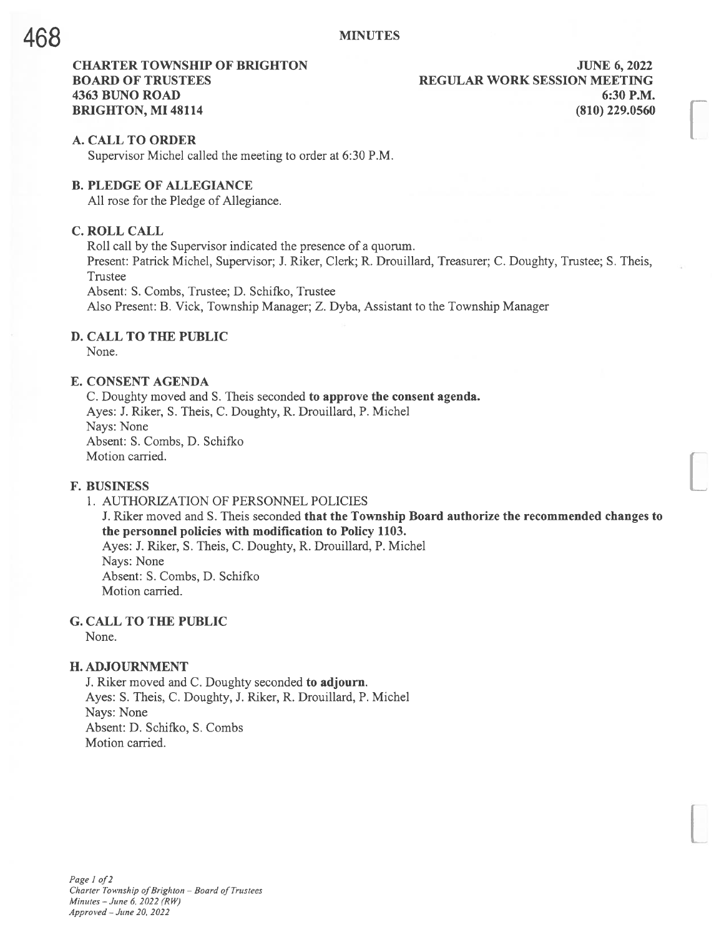# CHARTER TOWNSHIP OF BRIGHTON **FOUR SERVICE SERVICE OF A SET AND STATE 6, 2022** BOARD OF TRUSTEES THE REGULAR WORK SESSION MEETING 4363 BUNO ROAD 6:30 P.M. BRIGHTON, MI 48114 (810) 229.0560

#### A. CALL TO ORDER

Supervisor Michel called the meeting to order at 6:30 P.M.

## B. PLEDGE OF ALLEGIANCE

All rose for the Pledge of Allegiance.

# C. ROLL CALL

Roll call by the Supervisor indicated the presence of <sup>a</sup> quorum. Present: Patrick Michel, Supervisor; J. Riker, Clerk; R. Drouillard, Treasurer; C. Doughty, Trustee; S. Theis, Trustee Absent: S. Combs, Trustee; D. Schifko, Trustee

Also Present: B. Vick, Township Manager; Z. Dyba, Assistant to the Township Manager

#### D. CALL TO THE PUBLIC

None.

#### E. CONSENT AGENDA

C. Doughty moved and S. Theis seconded to approve the consent agenda. Ayes: J. Riker, S. Theis, C. Doughty, R. Drouillard, P. Michel Nays: None Absent: S. Combs, D. Schifko Motion carried.

#### F. BUSINESS

I. AUTHORIZATION OF PERSONNEL POLICIES J. Riker moved and S. Theis seconded that the Township Board authorize the recommended changes to the personnel policies with modification to Policy 1103. Ayes: J. Riker, S. Theis, C. Doughty, R. Drouillard, P. Michel Nays: None Absent: S. Combs, D. Schifko Motion carried.

## G. CALL TO THE PUBLIC

None.

#### H. ADJOURNMENT

J. Riker moved and C. Doughty seconded to adjourn. Ayes: S. Theis, C. Doughty, J. Riker, R. Drouillard, P. Michel Nays: None Absent: D. Schifko, S. Combs Motion carried.